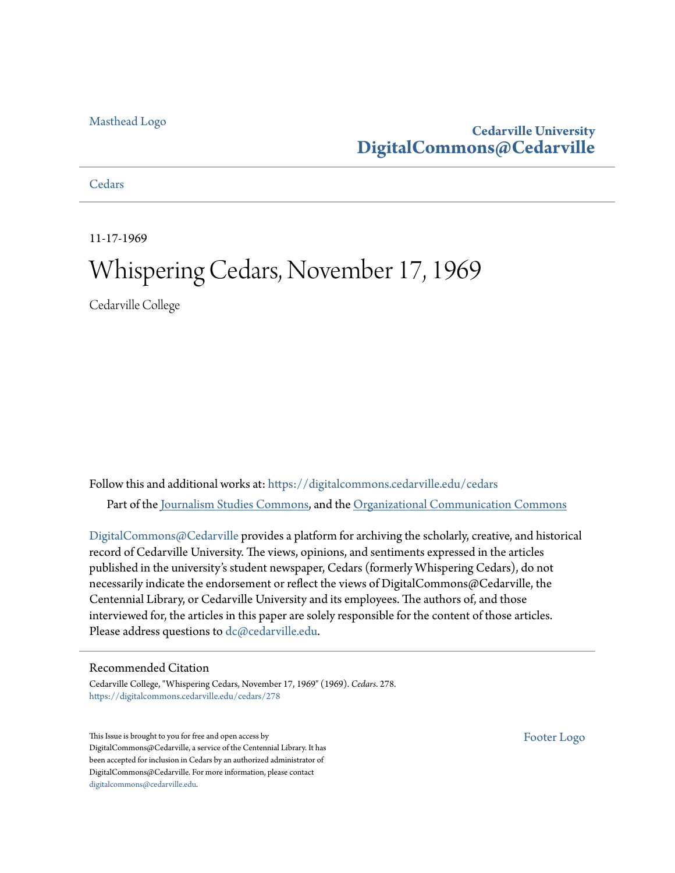# [Masthead Logo](http://www.cedarville.edu/?utm_source=digitalcommons.cedarville.edu%2Fcedars%2F278&utm_medium=PDF&utm_campaign=PDFCoverPages)

# **Cedarville University [DigitalCommons@Cedarville](https://digitalcommons.cedarville.edu?utm_source=digitalcommons.cedarville.edu%2Fcedars%2F278&utm_medium=PDF&utm_campaign=PDFCoverPages)**

**[Cedars](https://digitalcommons.cedarville.edu/cedars?utm_source=digitalcommons.cedarville.edu%2Fcedars%2F278&utm_medium=PDF&utm_campaign=PDFCoverPages)** 

11-17-1969

# Whispering Cedars, November 17, 1969

Cedarville College

Follow this and additional works at: [https://digitalcommons.cedarville.edu/cedars](https://digitalcommons.cedarville.edu/cedars?utm_source=digitalcommons.cedarville.edu%2Fcedars%2F278&utm_medium=PDF&utm_campaign=PDFCoverPages) Part of the [Journalism Studies Commons](http://network.bepress.com/hgg/discipline/333?utm_source=digitalcommons.cedarville.edu%2Fcedars%2F278&utm_medium=PDF&utm_campaign=PDFCoverPages), and the [Organizational Communication Commons](http://network.bepress.com/hgg/discipline/335?utm_source=digitalcommons.cedarville.edu%2Fcedars%2F278&utm_medium=PDF&utm_campaign=PDFCoverPages)

[DigitalCommons@Cedarville](http://digitalcommons.cedarville.edu/) provides a platform for archiving the scholarly, creative, and historical record of Cedarville University. The views, opinions, and sentiments expressed in the articles published in the university's student newspaper, Cedars (formerly Whispering Cedars), do not necessarily indicate the endorsement or reflect the views of DigitalCommons@Cedarville, the Centennial Library, or Cedarville University and its employees. The authors of, and those interviewed for, the articles in this paper are solely responsible for the content of those articles. Please address questions to [dc@cedarville.edu.](mailto:dc@cedarville.edu)

### Recommended Citation

Cedarville College, "Whispering Cedars, November 17, 1969" (1969). *Cedars*. 278. [https://digitalcommons.cedarville.edu/cedars/278](https://digitalcommons.cedarville.edu/cedars/278?utm_source=digitalcommons.cedarville.edu%2Fcedars%2F278&utm_medium=PDF&utm_campaign=PDFCoverPages)

This Issue is brought to you for free and open access by DigitalCommons@Cedarville, a service of the Centennial Library. It has been accepted for inclusion in Cedars by an authorized administrator of DigitalCommons@Cedarville. For more information, please contact [digitalcommons@cedarville.edu](mailto:digitalcommons@cedarville.edu).

[Footer Logo](http://www.cedarville.edu/Academics/Library.aspx?utm_source=digitalcommons.cedarville.edu%2Fcedars%2F278&utm_medium=PDF&utm_campaign=PDFCoverPages)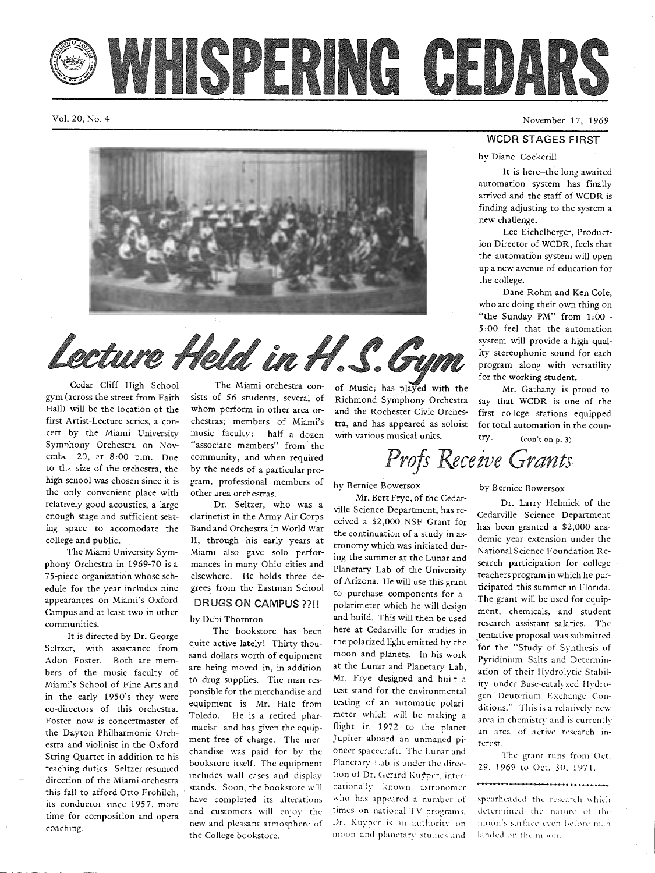VHSPERING CEDARS

Vol. 20, No. 4



Lecture Held in H.S. Gym

Cedar Cliff High School gym (across the street from Faith Hall) will be the location of the first Artist-Lecture series, a concert by the Miami University Symphony Orchestra on Novemb. 20, at 8:00 p.m. Due to the size of the orchestra, the high scnool was chosen since it is the only convenient place with relatively good acoustics, a large enough stage and sufficient seating space to accomodate the college and public.

The Miami University Symphony Orchestra in 1969-70 is a 75-piece organization whose schedule for the year includes nine appearances on Miami's Oxford Campus and at least two in other communities.

It is directed by Dr. George Seltzer, with assistance from Adon Foster. Both are members of the music faculty of Miami's School of Fine Arts and in the early 1950's they were co-directors of this orchestra. Foster now is concertmaster of the Dayton Philharmonic Orchestra and violinist in the Oxford String Quartet in addition to his teaching duties. Seltzer resumed direction of the Miami orchestra this fall to afford Otto Frohilch, its conductor since 1957, more time for composition and opera coaching.

The Miami orchestra consists of 56 students, several of whom perform in other area orchestras; members of Miami's music faculty; half a dozen "associate members" from the community, and when required by the needs of a particular program, professional members of other area orchestras.

Dr. Seltzer, who was a clarinetist in the Army Air Corps Band and Orchestra in World War II, through his early years at Miami also gave solo performances in many Ohio cities and elsewhere. He holds three degrees from the Eastman School DRUGS ON CAMPUS??!! by Debi Thornton

The bookstore has been quite active lately! Thirty thousand dollars worth of equipment are being moved in, in addition to drug supplies. The man responsible for the merchandise and equipment is Mr. Hale from Toledo. He is a retired pharmacist and has given the equipment free of charge. The merchandise was paid for by the bookstore itself. The equipment includes wall cases and display stands. Soon, the bookstore will have completed its alterations and customers will enjoy the new and pleasant atmosphere of the College bookstore.

of Music; has played with the Richmond Symphony Orchestra and the Rochester Civic Orchestra, and has appeared as soloist with various musical units.

# *Profs Receive Grants*

by Bernice Bowersox

Mr. Bert Frye, of the Cedarville Science Department, has received a \$2,000 NSF Grant for the continuation of a study in astronomy which was initiated during the summer at the Lunar and Planetary Lab of the University of Arizona. He will use this grant to purchase components for <sup>a</sup> polarimeter which he will design and build. This will then be used here at Cedarville for studies in the polarized light emitted by the moon and planets. In his work at the Lunar and Planetary Lab, Mr. Frye designed and built <sup>a</sup> test stand for the environmental testing of an automatic polarimeter which will be making a flight in 1972 to the planet Jupiter aboard an unmaned pioneer spacecraft. The Lunar and Planetary Lab is under the direction of Dr. Gerard Kuyper, internationally known astronomer who has appeared a number of times on national TV programs. Dr. Kuyper is an authority on moon and planetary studies and

November 17, 1969

# WCDR STAGES FIRST

by Diane Cockerill

It is here--the long awaited automation system has finally arrived and the staff of WCDR is finding adjusting to the system a new challenge.

Lee Eichelberger, Production Director of WCDR, feels that the automation system will open up a new avenue of education for the college.

Dane Rohm and Ken Cole, who are doing their own thing on "the Sunday PM" from 1:00 - 5 :00 feel that the automation system will provide a high quality stereophonic sound for each program along with versatility for the working student.

Mr. Gathany is proud to say that WCDR is one of the first college stations equipped for total automation in the country. (con't on p. 3)

by Bernice Bowersox

Dr. Larry Helmick of the Cedarville Science Department has been granted a \$2,000 academic year extension under the National Science Foundation Research participation for college teachers program in which he participated this summer in Florida. The grant will be used for equipment, chemicals, and student research assistant salaries. The \_tentative proposal was submitted for the "Study of Synthesis of Pyridinium Salts and Determination of their Hydrolytic Stability under Base-catalyzed Hydrogcn Deuterium Exchange Conditions." This is a relatively new area in chemistry and is currently an area of active research interest.

The grant runs from Oct. 29, 1969 to Oct. 30, 1971.

\*\*\*\*\*\*\*\*\*\*\*\*\*\*\*\*\*\*\*\*\*\*\*\*\*\*\*\*\*\*

# spearheaded the research which determined the nature of the moon's surface even before manlanded on the moon.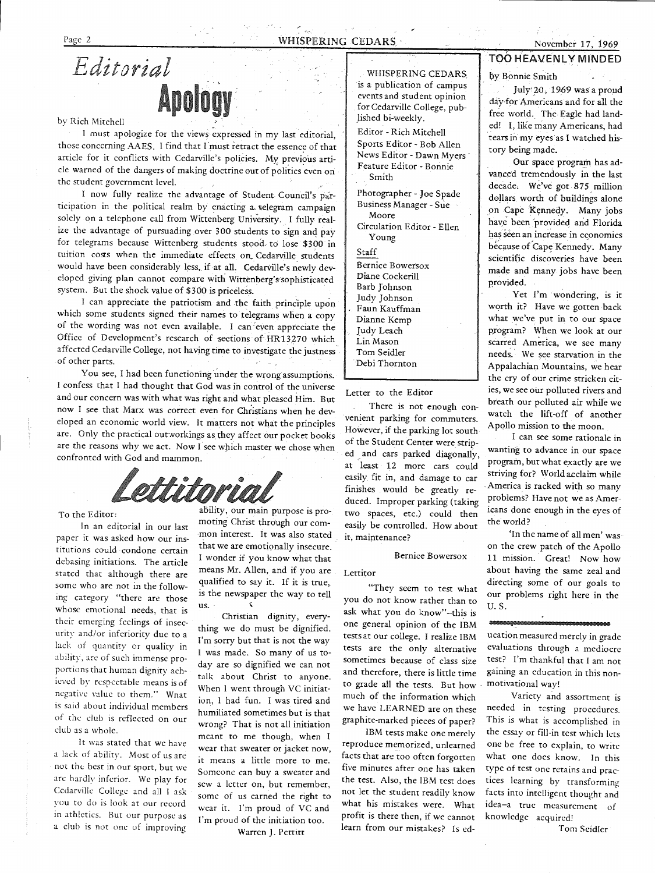WHISPERING CEDARS is a publication of campus events and student opinion for Cedarville College, pub-

Jished bi-weekly. Editor - Rich Mitchell Sports Editor - Bob Allen News Editor - Dawn Myers· Feature Editor - Bonnie

Smith

Moore

Young

Bernice Bowersox Diane Cockerill Barb Johnson Judy Johnson Faun Kauffman Dianne Kemp Judy Leach Lin Mason Tom Seidler · Debi Thornton

Letter to the Editor

it, maintenance?

Lettitor

There is not enough convenient parking for commuters. However, if the parking lot south of the Student Center were striped and cars parked diagonally, .at least 12 more cars could easily fit in, and damage to car finishes would be greatly reduced. Improper parking (taking two spaces, etc.) could then easily be controlled. How about

Bernice Bowersox

"They seem to test what you do not know rather than to ask what you do know"-this is one general opinion of the IBM tests at our college. I realize IBM tests are the only alternative sometimes because of class size and therefore, there is little time to grade all the tests. But how much of the information which we have LEARNED are on these graphite-marked pieces of paper? IBM tests make one merely reproduce memorized, unlearned facts that are too often forgotten five minutes after one has taken the test. Also, the IBM test does not let the student readily know what his mistakes were. What profit is there then, if we cannot learn from our mistakes? ls ed-

Staff

Photographer - Joe Spade Business Manager - Sue

Circulation Editor - Ellen

*Editorial*  **Apology** 

# by Rich Mitchell

 <sup>I</sup>must apologize for the views expressed in my last editorial, those concerning AAES. I find that I must retract the essence of that article for it conflicts with Cedarville's policies. My previous article warned of the dangers of making doctrine out of politics even on the student government level.

I now fully realize the advantage of Student Council's participation in the political realm by enacting a telegram campaign solely on a telephone call from Wittenberg University. I fully realize the advantage of pursuading over 300 students to sign and pay for telegrams because Wittenberg students stood. to lose \$300 in tuition costs when the immediate effects on Cedarville students would have been considerably less, if at all. Cedarville's newly developed giving plan cannot compare with Wittenberg's sophisticated system. But the shock value of \$300 is priceless.

I can appreciate the patriotism and the faith principle upon which some students signed their names to telegrams when a copy of the wording was not even available. I can even appreciate the Office of Development's research of sections of HR13.270 which affected Cedarville College, not having time to investigate the justness of other parts.

You see, I had been functioning under the wrong assumptions. I confess that I had thought that God was in control of the universe and our concern was with what was right and what pleased Him. But now I see that Marx was correct even for Christians when he developed an economic world view. It matters not what the principles are. Only the practical out workings as they affect our pocket books are the reasons why we act. Now  $\tilde{I}$  see which master we chose when confronted with God and mammon.

ettitori

To the Editor:

In an editorial in our last paper it was asked how our institutions could condone certain debasing initiations. The article stated that although there are some who are not in the following category "there are those whose emotional needs, that is their emerging feelings of insecurity and/or inferiority due to <sup>a</sup> lack of quantity or quality in ability, arc of such immense proportions that human dignity achieved by respectable means is of negative value to them." What is said about individual members of the club is reflected on our dub as a whole.

It was stated that we have a lack of ability. Most of us arc not the best in our sport, but we arc hardlv inferior. We play for Cedarville College and all I ask you to do is look at our record in athletics. Hut our purpose as a club is not one of improving

ability, our main purpose is promoting Christ through our common interest. It was also stated that we are emotionally insecure. <sup>I</sup>wonder if you know what that means Mr. Allen, and if you are qualified to say it. If it is true, is the newspaper the way to tell us. \

Christian dignity, everything we do must be dignified. I'm sorry but that is not the way <sup>I</sup>was made. So many of us today are so dignified we can not talk about Christ to anyone. When I went through VC initiation, I had fun. I was tired and humiliated sometimes but is that wrong? That is not all initiation meant to me though, when <sup>I</sup> wear that sweater or jacket now, it means a little more to me. Someone can buy a sweater and sew a letter on, but remember, some of us earned the right to wear it. I'm proud of VC and I'm proud of the initiation too.

Warren J. Pettitt

# TOO HEAVENLY MINDED

by Bonnie Smith

July 20, 1969 was a proud day for Americans and for all the free world. The Eagle had land ed! I, like many Americans, had tears in my eyes as I watched his tory being made.

Our space program has ad vanced tremendously in the last<br>decade. We've got 875 million<br>dollars worth of buildings alone on Cape Kennedy. Many jobs have been provided and Florida has seen an increase in economics because of Cape Kennedy. Many scientific discoveries have been made and many jobs have been provided.

Yet I'm wondering, is it worth it? Have we gotten back<br>what we've put in to our space program? When we look at our scarred America, we see many needs. We see starvation in the Appalachian Mountains, we hear the cry of our crime stricken cit ies, we see our polluted rivers and breath our polluted air while we watch the lift-off of another Apollo mission to the moon.

I can see some rationale in wanting to advance in our space<br>program, but what exactly are we striving for? World acclaim while<br>America is racked with so many problems? Have not we as Amer icans done enough in the eyes of the world?

'In the name of all men' was on the crew patch of the Apollo 11 mission. Great! Now how about having the same zeal and directing some of our goals to our problems right here in the U.S.

ucation measured merely in grade evaluations through a mediocre

test? I'm thankful that I am not gaining an education in this non motivational way! Variety and assortment is

needed in testing procedures. This is what is accomplished in the essay or fill-in test which lcts one be free to explain, to write what one does know. In this type of test one retains and prac-<br>tices learning by transforming facts into intelligent thought and idea-a true measurement of knowledge acquired!

Tom Seidler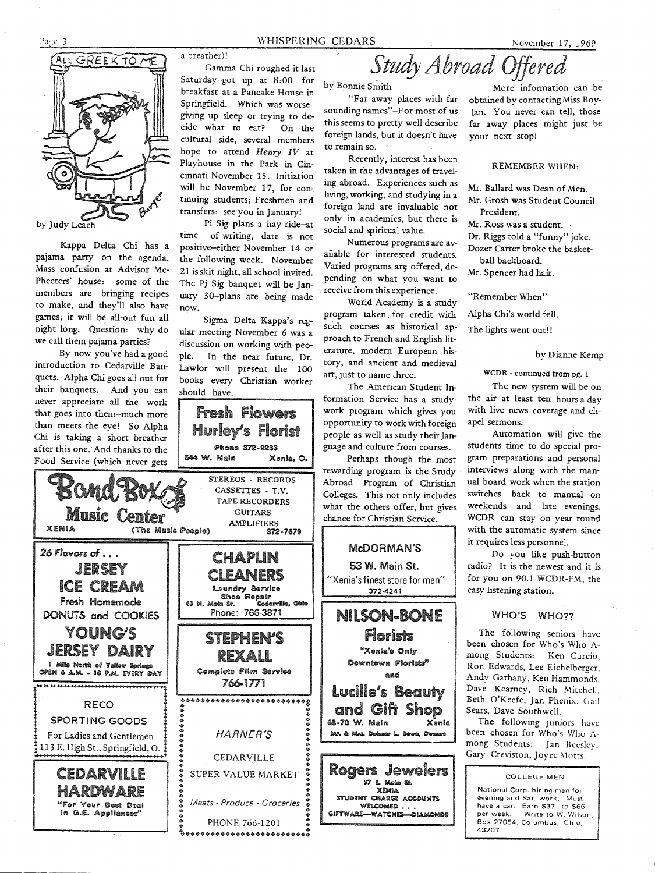

Kappa Delta Chi has a pajama party on the agenda. Mass confusion at Advisor Mc-Pheeters' house: some of the members are bringing recipes to make, and they'll also have games; it will be all-out fun all night long. Question: why do we call them pajama parties?

By now you've had a good introduction to Cedarville Banquets. Alpha Chi goes all out for their banquets. And you can never appreciate all the work that goes into them--much more than meets the eye! So Alpha Chi is taking a short breather after this one. And thanks to the Food Service (which never gets

Phone 372-9233 1544 W. Main Xenia, o. STEREOS - RECORDS **Bond FR** CASSETTES - T.V. TAPE RECORDERS Music Center GUITARS AMPLIFIERS XENIA (The Music People) 372·76711 *26 Flavors* ol ... CHAPLIN JERSEY CLEANERS ICE CREAM Laundry Service ساست<br>Shoe Repair<br>49 N. Moin St. Coderrille, Ohlo fresh Homemade DONUTS and COOKIES Phone: 766-3871 YOUNG'S STEPHEN'S JERSEY DAIRY REXALL 1 Mile North of Yallow Sorings Complete Film Service OPEN 6 A.M. - 10 P.M. EVERY DAY 766-1771 RECO *:························:* • • • • • • • • ! HARNE R'S ! • • • • • • ! CEDARVILLE ! • • ! SUPER VALUE MARKET ! SPORTING GOODS For Ladies and Gentlemen 113 E. High St., Springfield, 0. CEDARVILLE • • • • • • • • ! *Meats* - *Produce* - *Groceries* ! **HARDWARE** "For Your Best Deal In G.E. Appliances PHONE 766-1201 ~ ........................ :

a breather)!

Gamma Chi roughed it last Saturday--got up at 8:00 for breakfast at a Pancake House in Springfield. Which was worsegiving up sleep or trying to decide what to eat? On the cultural side, several members hope to attend Henry IV at Playhouse in the Park in Cincinnati November 15. Initiation will be November 17, for continuing students; Freshmen and

transfers: see you in January! Pi Sig plans a hay ride-at time of writing, date is not positive-either November 14 or the following week. November 21 is skit night, all school invited. The Pj Sig banquet will be January 30-plans are being made now.

Sigma Delta Kappa's regular meeting November 6 was a discussion on working with people. In the near future, Dr. Lawlor will present the 100 books every Christian worker should have.

Fresh flowers

s florist

"Far away places with far sounding names"-For most of us this seems to pretty well describe foreign lands, but it doesn't have to remain so.

Recently, interest has been taken in the advantages of traveling abroad. Experiences such as living, working, and studying in a foreign land are invaluable not only in academics, but there is social and spiritual value.

Numerous programs are available for interested students. Varied programs are offered, depending on what you want to receive from this experience.

World Academy is a study program taken . for credit with such courses as historical approach to French and English literature, modern European history, and ancient and medieval art, just to name three.

The American Student Information Service has a studywork program which gives you opportunity to work with foreign people as well as study their language and culture from courses.

Perhaps though the most rewarding program is the Study Abroad Program of Christian Colleges. This not only includes what the others offer, but gives chance for Christian Service.

#### McDORMAN'S

53 W. Main St. "Xenia's finest store for men" 372-4241



by Bonnie Smith More information can be obtained by contacting Miss Boylan. You never can tell, those far away places might just be your next stop!

Study *Abroad* Offered

REMEMBER WHEN:

Mr. Ballard was Dean of Men.

Mr. Grosh was Student Council President.

Mr. Ross was a student.

Dr. Riggs told a "funny" joke. Dozer Carter broke the basket-

ball backboard. Mr. Spencer had hair.

"Remember When"

Alpha Chi's world fell.

The lights went out!!

#### by Dianne Kemp

WCDR - continued from pg. 1

The new system will be on the air at least ten hours a day with live news coverage and chapel sermons.

Automation will give the students time to do special program preparations and personal interviews along with the manual board work when the station switches back to manual on weekends and late evenings. WCDR can stay on year round with the automatic system since it requires less personnel.

Do you like push-button radio? It is the newest and it is for you on 90.l WCDR-FM, the easy listening station.

#### WHO'S WHO??

The following seniors have been chosen for Who's Who Among Students: Ken Curcio, Ron Edwards, Lee Eichelberger, Andy Gathany, Ken Hammonds, Dave Kearney, Rich Mitchell, Beth O'Keefe, Jan Phenix, Cail Sears, Dave Southwell.

The following juniors have been chosen for Who's Who Among Students: Jan Beesley, Gary Creviston, Joyce Motts.

COLLEGE MEN **National Corp. hiring man for evening and Sat. work. Must**  have a car. Earn \$37 to \$66 **per week. Write to W. Wilson**  Box 27054, Columbus, Ohio, 43207